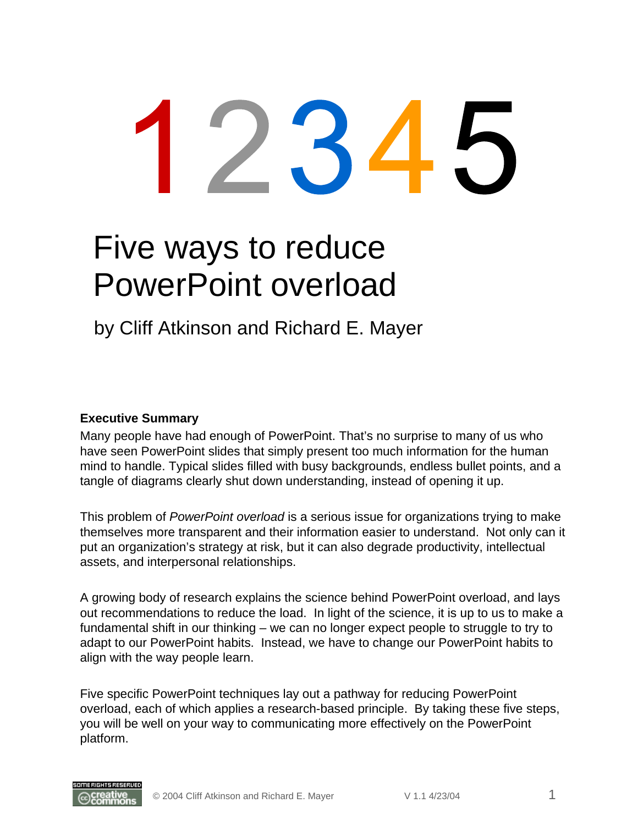# Five ways to reduce PowerPoint overload

by Cliff Atkinson and Richard E. Mayer

#### **Executive Summary**

Many people have had enough of PowerPoint. That's no surprise to many of us who have seen PowerPoint slides that simply present too much information for the human mind to handle. Typical slides filled with busy backgrounds, endless bullet points, and a tangle of diagrams clearly shut down understanding, instead of opening it up.

This problem of *PowerPoint overload* is a serious issue for organizations trying to make themselves more transparent and their information easier to understand. Not only can it put an organization's strategy at risk, but it can also degrade productivity, intellectual assets, and interpersonal relationships.

A growing body of research explains the science behind PowerPoint overload, and lays out recommendations to reduce the load. In light of the science, it is up to us to make a fundamental shift in our thinking – we can no longer expect people to struggle to try to adapt to our PowerPoint habits. Instead, we have to change our PowerPoint habits to align with the way people learn.

Five specific PowerPoint techniques lay out a pathway for reducing PowerPoint overload, each of which applies a research-based principle. By taking these five steps, you will be well on your way to communicating more effectively on the PowerPoint platform.

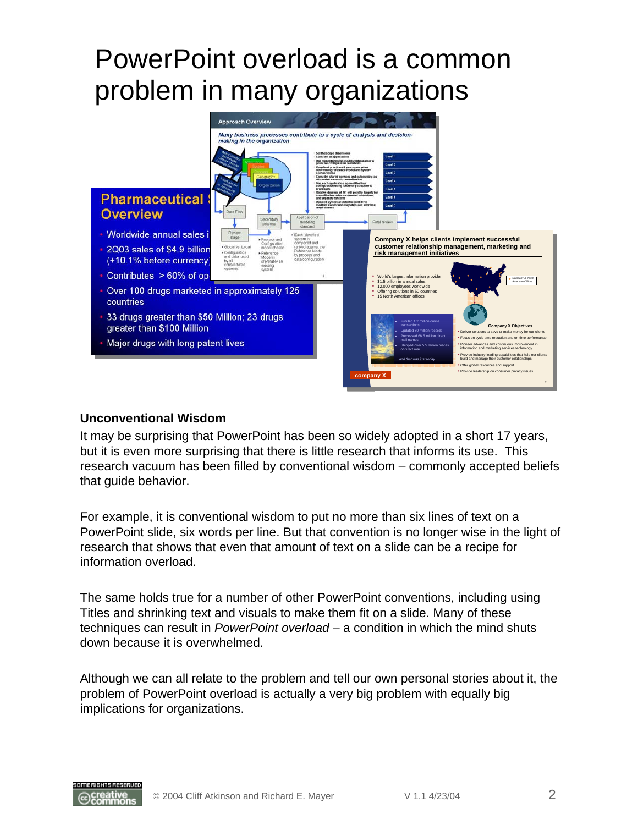### PowerPoint overload is a common problem in many organizations



#### **Unconventional Wisdom**

It may be surprising that PowerPoint has been so widely adopted in a short 17 years, but it is even more surprising that there is little research that informs its use. This research vacuum has been filled by conventional wisdom – commonly accepted beliefs that guide behavior.

For example, it is conventional wisdom to put no more than six lines of text on a PowerPoint slide, six words per line. But that convention is no longer wise in the light of research that shows that even that amount of text on a slide can be a recipe for information overload.

The same holds true for a number of other PowerPoint conventions, including using Titles and shrinking text and visuals to make them fit on a slide. Many of these techniques can result in *PowerPoint overload* – a condition in which the mind shuts down because it is overwhelmed.

Although we can all relate to the problem and tell our own personal stories about it, the problem of PowerPoint overload is actually a very big problem with equally big implications for organizations.

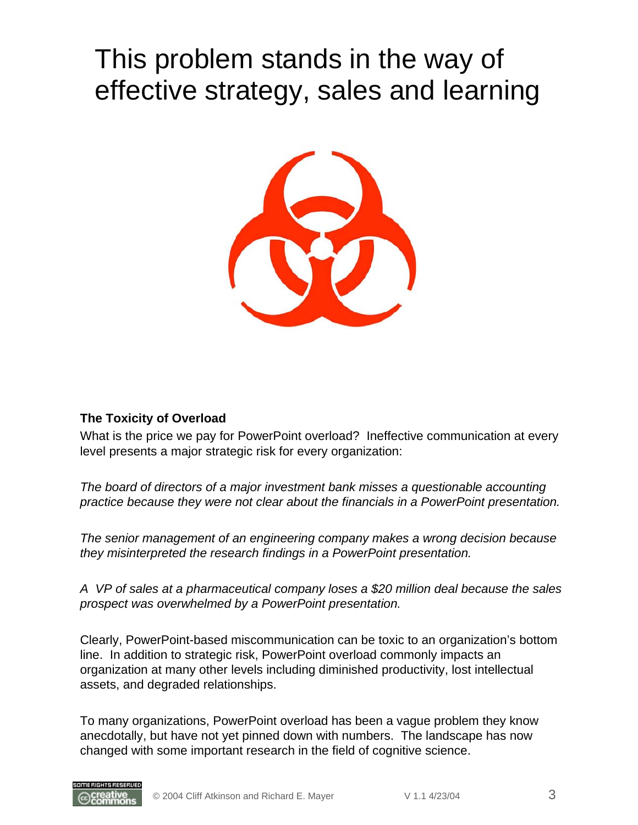### This problem stands in the way of effective strategy, sales and learning



#### **The Toxicity of Overload**

What is the price we pay for PowerPoint overload? Ineffective communication at every level presents a major strategic risk for every organization:

*The board of directors of a major investment bank misses a questionable accounting practice because they were not clear about the financials in a PowerPoint presentation.*

*The senior management of an engineering company makes a wrong decision because they misinterpreted the research findings in a PowerPoint presentation.* 

*A VP of sales at a pharmaceutical company loses a \$20 million deal because the sales prospect was overwhelmed by a PowerPoint presentation.*

Clearly, PowerPoint-based miscommunication can be toxic to an organization's bottom line. In addition to strategic risk, PowerPoint overload commonly impacts an organization at many other levels including diminished productivity, lost intellectual assets, and degraded relationships.

To many organizations, PowerPoint overload has been a vague problem they know anecdotally, but have not yet pinned down with numbers. The landscape has now changed with some important research in the field of cognitive science.

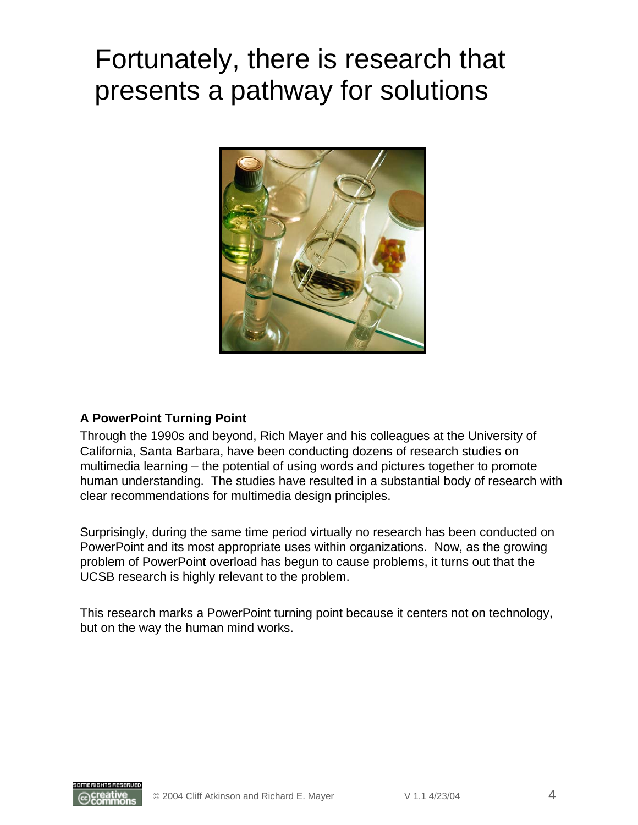### Fortunately, there is research that presents a pathway for solutions



#### **A PowerPoint Turning Point**

Through the 1990s and beyond, Rich Mayer and his colleagues at the University of California, Santa Barbara, have been conducting dozens of research studies on multimedia learning – the potential of using words and pictures together to promote human understanding. The studies have resulted in a substantial body of research with clear recommendations for multimedia design principles.

Surprisingly, during the same time period virtually no research has been conducted on PowerPoint and its most appropriate uses within organizations. Now, as the growing problem of PowerPoint overload has begun to cause problems, it turns out that the UCSB research is highly relevant to the problem.

This research marks a PowerPoint turning point because it centers not on technology, but on the way the human mind works.

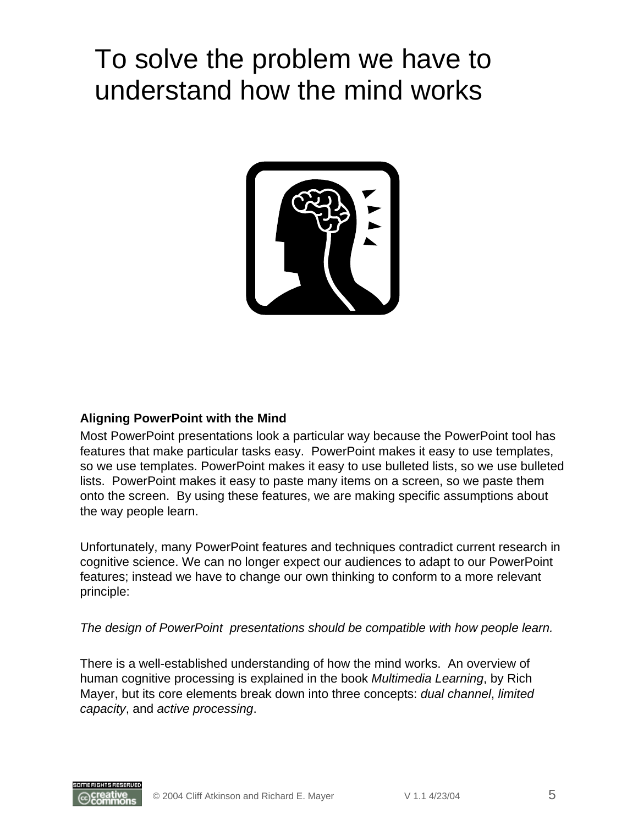### To solve the problem we have to understand how the mind works



#### **Aligning PowerPoint with the Mind**

Most PowerPoint presentations look a particular way because the PowerPoint tool has features that make particular tasks easy. PowerPoint makes it easy to use templates, so we use templates. PowerPoint makes it easy to use bulleted lists, so we use bulleted lists. PowerPoint makes it easy to paste many items on a screen, so we paste them onto the screen. By using these features, we are making specific assumptions about the way people learn.

Unfortunately, many PowerPoint features and techniques contradict current research in cognitive science. We can no longer expect our audiences to adapt to our PowerPoint features; instead we have to change our own thinking to conform to a more relevant principle:

*The design of PowerPoint presentations should be compatible with how people learn.*

There is a well-established understanding of how the mind works. An overview of human cognitive processing is explained in the book *Multimedia Learning*, by Rich Mayer, but its core elements break down into three concepts: *dual channel*, *limited capacity*, and *active processing*.

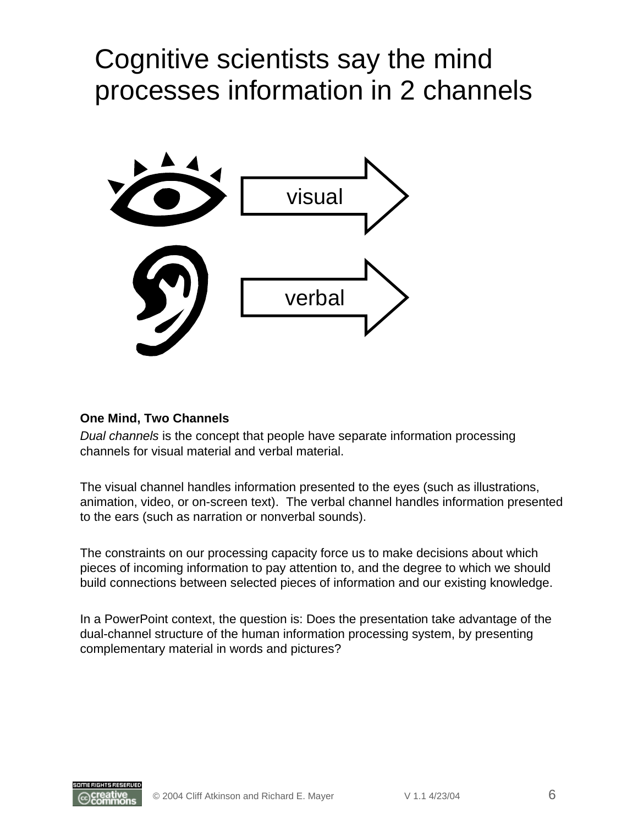### Cognitive scientists say the mind processes information in 2 channels



#### **One Mind, Two Channels**

*Dual channels* is the concept that people have separate information processing channels for visual material and verbal material.

The visual channel handles information presented to the eyes (such as illustrations, animation, video, or on-screen text). The verbal channel handles information presented to the ears (such as narration or nonverbal sounds).

The constraints on our processing capacity force us to make decisions about which pieces of incoming information to pay attention to, and the degree to which we should build connections between selected pieces of information and our existing knowledge.

In a PowerPoint context, the question is: Does the presentation take advantage of the dual-channel structure of the human information processing system, by presenting complementary material in words and pictures?

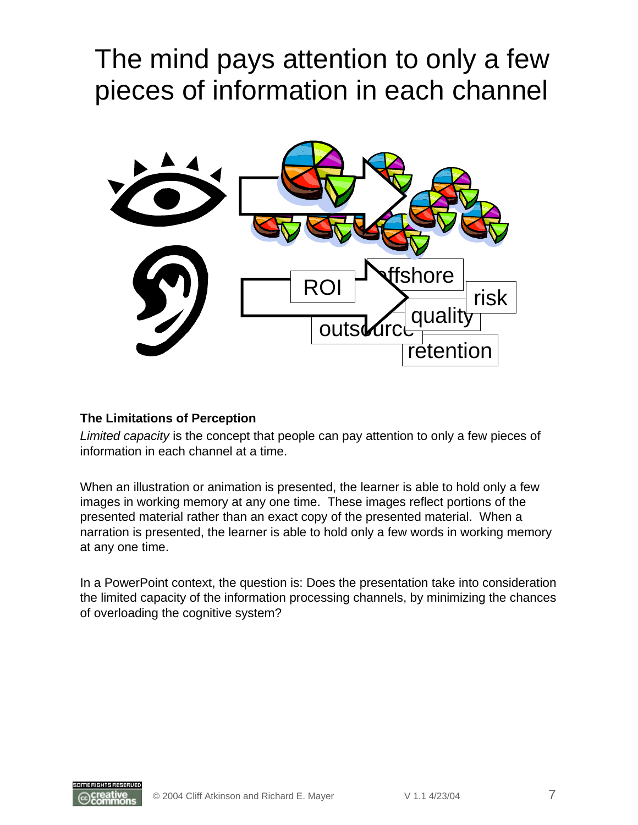### The mind pays attention to only a few pieces of information in each channel



#### **The Limitations of Perception**

*Limited capacity* is the concept that people can pay attention to only a few pieces of information in each channel at a time.

When an illustration or animation is presented, the learner is able to hold only a few images in working memory at any one time. These images reflect portions of the presented material rather than an exact copy of the presented material. When a narration is presented, the learner is able to hold only a few words in working memory at any one time.

In a PowerPoint context, the question is: Does the presentation take into consideration the limited capacity of the information processing channels, by minimizing the chances of overloading the cognitive system?

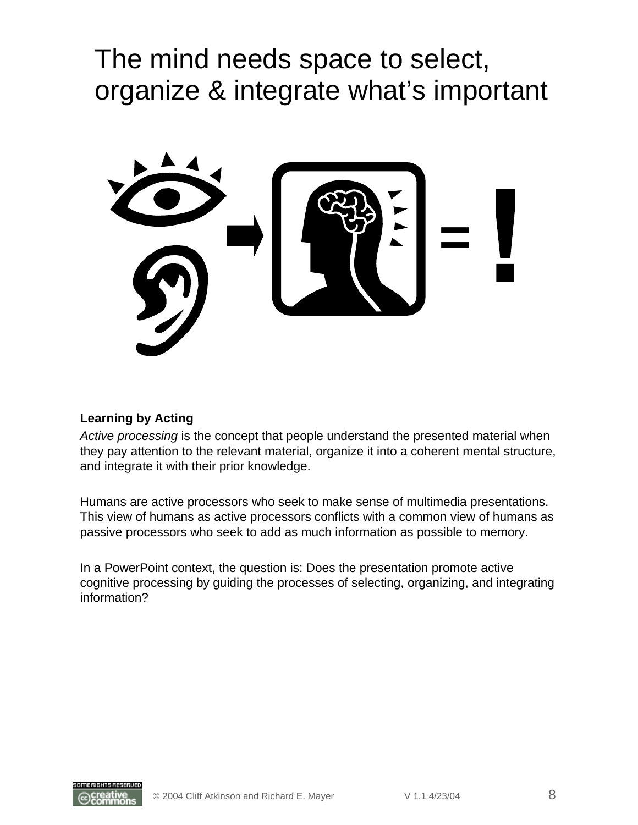### The mind needs space to select, organize & integrate what's important



#### **Learning by Acting**

*Active processing* is the concept that people understand the presented material when they pay attention to the relevant material, organize it into a coherent mental structure, and integrate it with their prior knowledge.

Humans are active processors who seek to make sense of multimedia presentations. This view of humans as active processors conflicts with a common view of humans as passive processors who seek to add as much information as possible to memory.

In a PowerPoint context, the question is: Does the presentation promote active cognitive processing by guiding the processes of selecting, organizing, and integrating information?

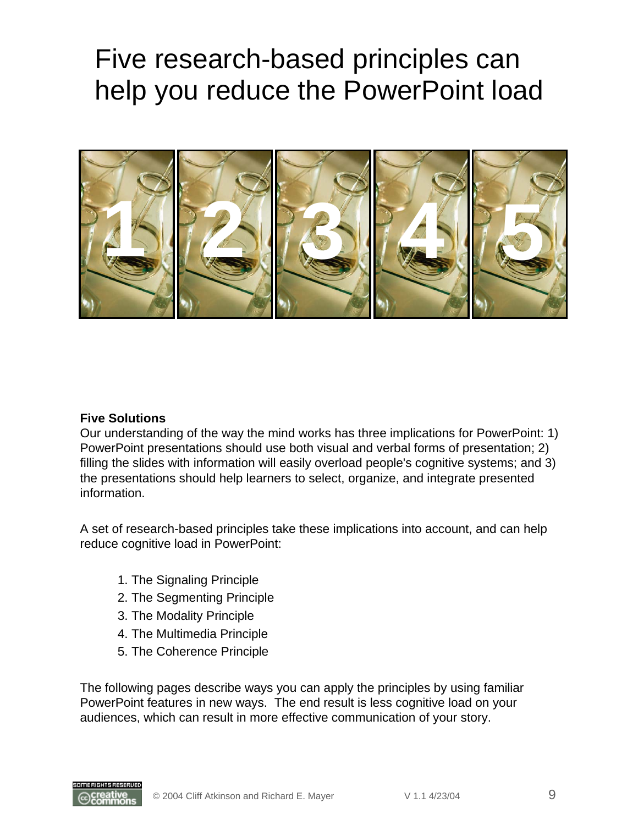### Five research-based principles can help you reduce the PowerPoint load



#### **Five Solutions**

Our understanding of the way the mind works has three implications for PowerPoint: 1) PowerPoint presentations should use both visual and verbal forms of presentation; 2) filling the slides with information will easily overload people's cognitive systems; and 3) the presentations should help learners to select, organize, and integrate presented information.

A set of research-based principles take these implications into account, and can help reduce cognitive load in PowerPoint:

- 1. The Signaling Principle
- 2. The Segmenting Principle
- 3. The Modality Principle
- 4. The Multimedia Principle
- 5. The Coherence Principle

The following pages describe ways you can apply the principles by using familiar PowerPoint features in new ways. The end result is less cognitive load on your audiences, which can result in more effective communication of your story.

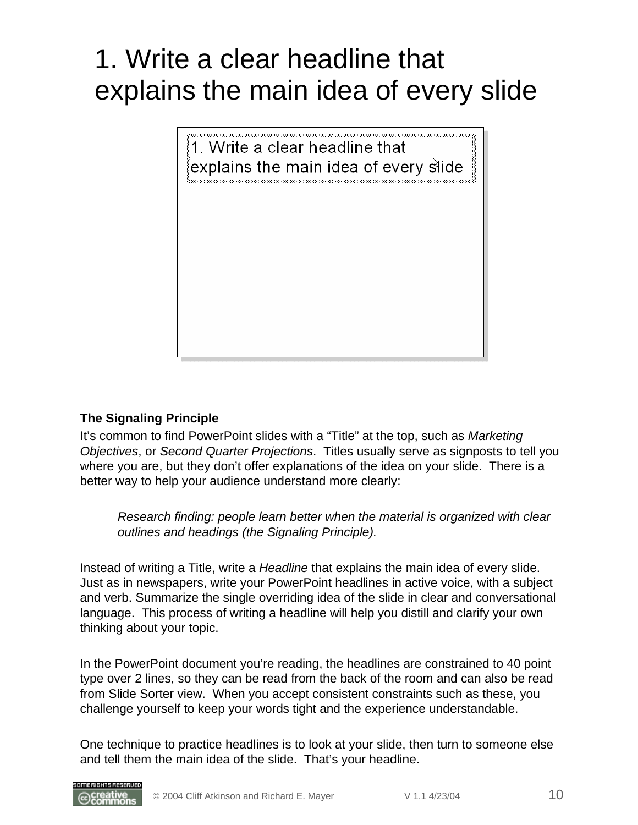## 1. Write a clear headline that explains the main idea of every slide



### **The Signaling Principle**

It's common to find PowerPoint slides with a "Title" at the top, such as *Marketing Objectives*, or *Second Quarter Projections*. Titles usually serve as signposts to tell you where you are, but they don't offer explanations of the idea on your slide. There is a better way to help your audience understand more clearly:

*Research finding: people learn better when the material is organized with clear outlines and headings (the Signaling Principle).*

Instead of writing a Title, write a *Headline* that explains the main idea of every slide. Just as in newspapers, write your PowerPoint headlines in active voice, with a subject and verb. Summarize the single overriding idea of the slide in clear and conversational language. This process of writing a headline will help you distill and clarify your own thinking about your topic.

In the PowerPoint document you're reading, the headlines are constrained to 40 point type over 2 lines, so they can be read from the back of the room and can also be read from Slide Sorter view. When you accept consistent constraints such as these, you challenge yourself to keep your words tight and the experience understandable.

One technique to practice headlines is to look at your slide, then turn to someone else and tell them the main idea of the slide. That's your headline.

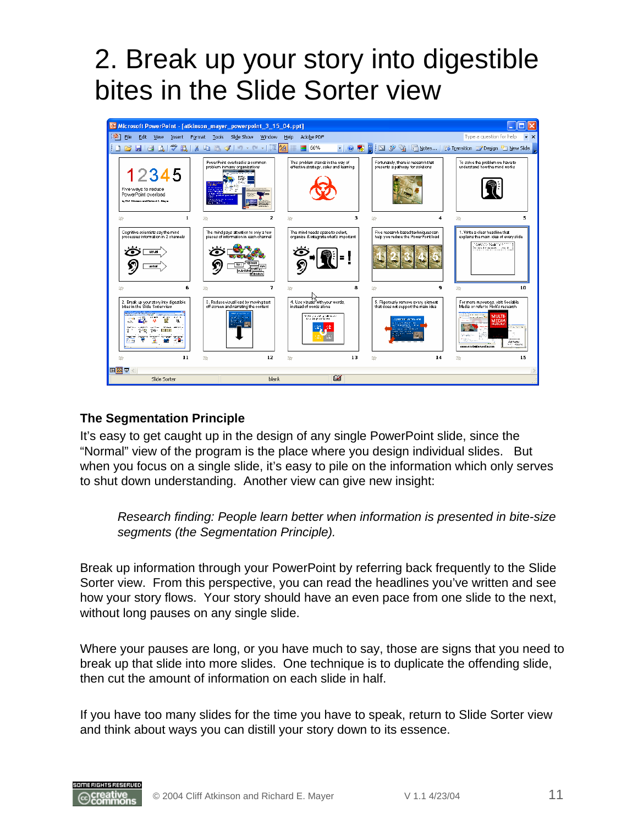## 2. Break up your story into digestible bites in the Slide Sorter view



#### **The Segmentation Principle**

It's easy to get caught up in the design of any single PowerPoint slide, since the "Normal" view of the program is the place where you design individual slides. But when you focus on a single slide, it's easy to pile on the information which only serves to shut down understanding. Another view can give new insight:

*Research finding: People learn better when information is presented in bite-size segments (the Segmentation Principle).*

Break up information through your PowerPoint by referring back frequently to the Slide Sorter view. From this perspective, you can read the headlines you've written and see how your story flows. Your story should have an even pace from one slide to the next, without long pauses on any single slide.

Where your pauses are long, or you have much to say, those are signs that you need to break up that slide into more slides. One technique is to duplicate the offending slide, then cut the amount of information on each slide in half.

If you have too many slides for the time you have to speak, return to Slide Sorter view and think about ways you can distill your story down to its essence.

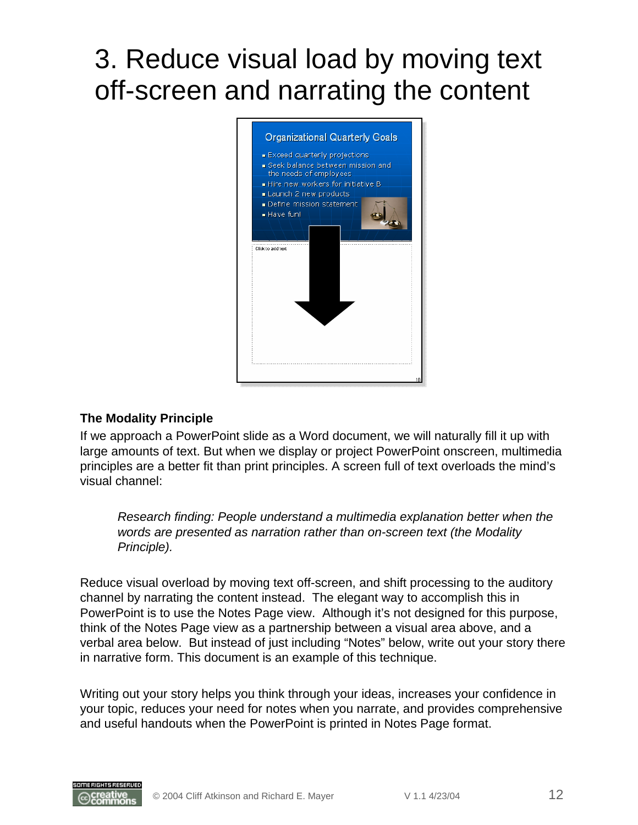## 3. Reduce visual load by moving text off-screen and narrating the content



#### **The Modality Principle**

If we approach a PowerPoint slide as a Word document, we will naturally fill it up with large amounts of text. But when we display or project PowerPoint onscreen, multimedia principles are a better fit than print principles. A screen full of text overloads the mind's visual channel:

*Research finding: People understand a multimedia explanation better when the words are presented as narration rather than on-screen text (the Modality Principle).*

Reduce visual overload by moving text off-screen, and shift processing to the auditory channel by narrating the content instead. The elegant way to accomplish this in PowerPoint is to use the Notes Page view. Although it's not designed for this purpose, think of the Notes Page view as a partnership between a visual area above, and a verbal area below. But instead of just including "Notes" below, write out your story there in narrative form. This document is an example of this technique.

Writing out your story helps you think through your ideas, increases your confidence in your topic, reduces your need for notes when you narrate, and provides comprehensive and useful handouts when the PowerPoint is printed in Notes Page format.

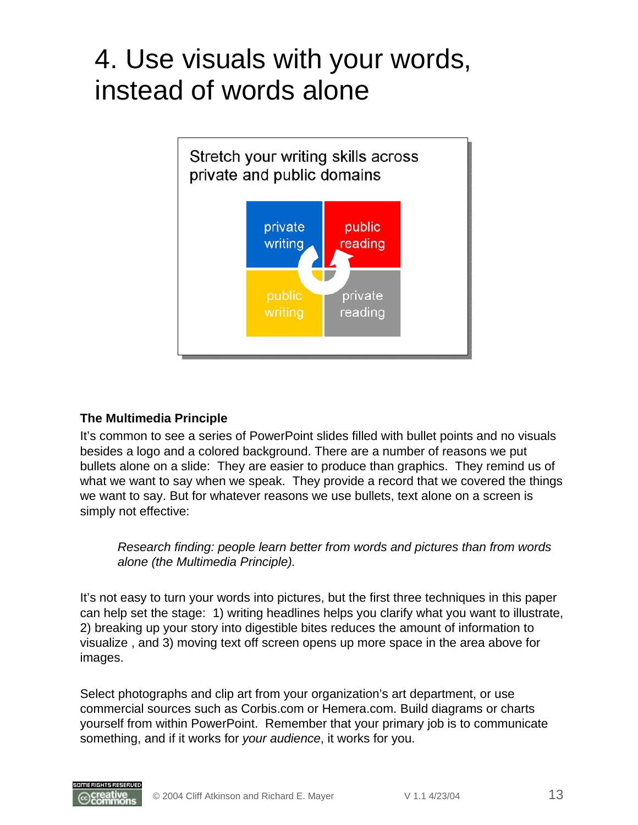### 4. Use visuals with your words, instead of words alone



#### **The Multimedia Principle**

It's common to see a series of PowerPoint slides filled with bullet points and no visuals besides a logo and a colored background. There are a number of reasons we put bullets alone on a slide: They are easier to produce than graphics. They remind us of what we want to say when we speak. They provide a record that we covered the things we want to say. But for whatever reasons we use bullets, text alone on a screen is simply not effective:

*Research finding: people learn better from words and pictures than from words alone (the Multimedia Principle).*

It's not easy to turn your words into pictures, but the first three techniques in this paper can help set the stage: 1) writing headlines helps you clarify what you want to illustrate, 2) breaking up your story into digestible bites reduces the amount of information to visualize , and 3) moving text off screen opens up more space in the area above for images.

Select photographs and clip art from your organization's art department, or use commercial sources such as Corbis.com or Hemera.com. Build diagrams or charts yourself from within PowerPoint. Remember that your primary job is to communicate something, and if it works for *your audience*, it works for you.

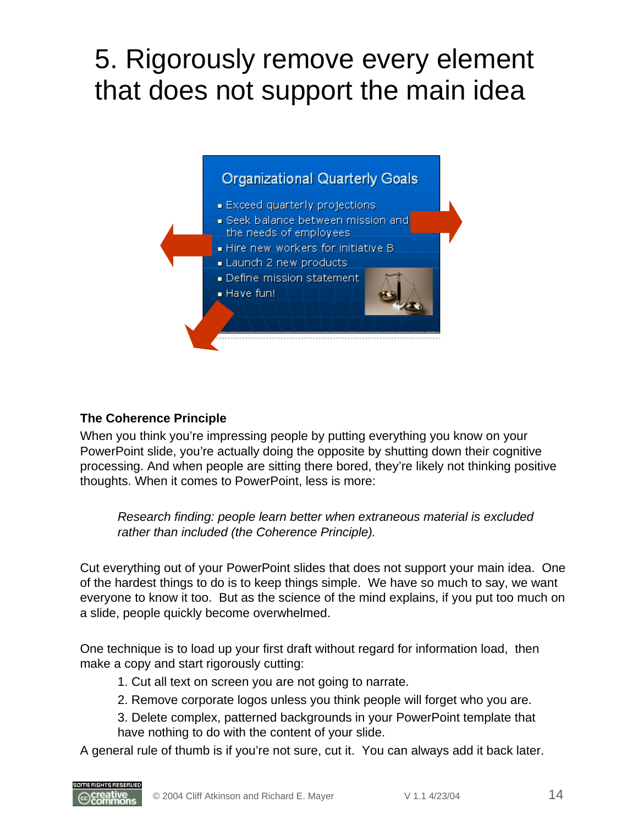### 5. Rigorously remove every element that does not support the main idea



### **The Coherence Principle**

SOME RIGHTS RESERVED

When you think you're impressing people by putting everything you know on your PowerPoint slide, you're actually doing the opposite by shutting down their cognitive processing. And when people are sitting there bored, they're likely not thinking positive thoughts. When it comes to PowerPoint, less is more:

*Research finding: people learn better when extraneous material is excluded rather than included (the Coherence Principle).*

Cut everything out of your PowerPoint slides that does not support your main idea. One of the hardest things to do is to keep things simple. We have so much to say, we want everyone to know it too. But as the science of the mind explains, if you put too much on a slide, people quickly become overwhelmed.

One technique is to load up your first draft without regard for information load, then make a copy and start rigorously cutting:

- 1. Cut all text on screen you are not going to narrate.
- 2. Remove corporate logos unless you think people will forget who you are.
- 3. Delete complex, patterned backgrounds in your PowerPoint template that have nothing to do with the content of your slide.

A general rule of thumb is if you're not sure, cut it. You can always add it back later.